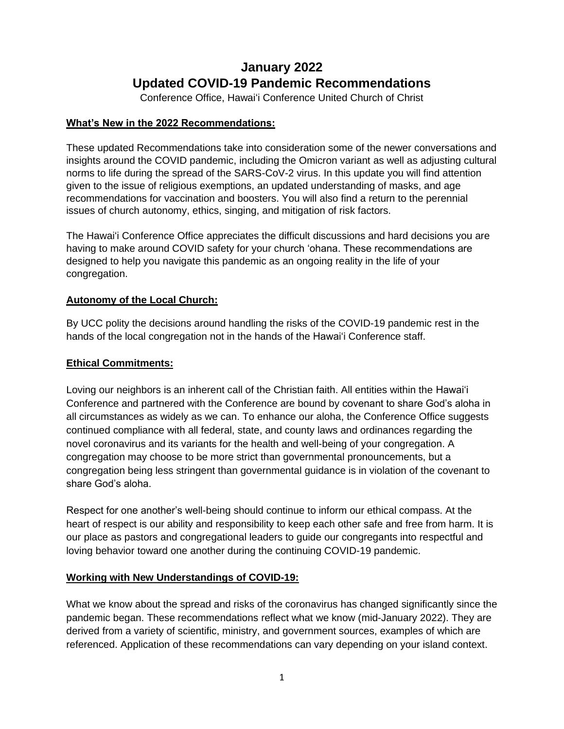# **January 2022 Updated COVID-19 Pandemic Recommendations**

Conference Office, Hawai'i Conference United Church of Christ

## **What's New in the 2022 Recommendations:**

These updated Recommendations take into consideration some of the newer conversations and insights around the COVID pandemic, including the Omicron variant as well as adjusting cultural norms to life during the spread of the SARS-CoV-2 virus. In this update you will find attention given to the issue of religious exemptions, an updated understanding of masks, and age recommendations for vaccination and boosters. You will also find a return to the perennial issues of church autonomy, ethics, singing, and mitigation of risk factors.

The Hawai'i Conference Office appreciates the difficult discussions and hard decisions you are having to make around COVID safety for your church 'ohana. These recommendations are designed to help you navigate this pandemic as an ongoing reality in the life of your congregation.

## **Autonomy of the Local Church:**

By UCC polity the decisions around handling the risks of the COVID-19 pandemic rest in the hands of the local congregation not in the hands of the Hawai'i Conference staff.

## **Ethical Commitments:**

Loving our neighbors is an inherent call of the Christian faith. All entities within the Hawai'i Conference and partnered with the Conference are bound by covenant to share God's aloha in all circumstances as widely as we can. To enhance our aloha, the Conference Office suggests continued compliance with all federal, state, and county laws and ordinances regarding the novel coronavirus and its variants for the health and well-being of your congregation. A congregation may choose to be more strict than governmental pronouncements, but a congregation being less stringent than governmental guidance is in violation of the covenant to share God's aloha.

Respect for one another's well-being should continue to inform our ethical compass. At the heart of respect is our ability and responsibility to keep each other safe and free from harm. It is our place as pastors and congregational leaders to guide our congregants into respectful and loving behavior toward one another during the continuing COVID-19 pandemic.

### **Working with New Understandings of COVID-19:**

What we know about the spread and risks of the coronavirus has changed significantly since the pandemic began. These recommendations reflect what we know (mid-January 2022). They are derived from a variety of scientific, ministry, and government sources, examples of which are referenced. Application of these recommendations can vary depending on your island context.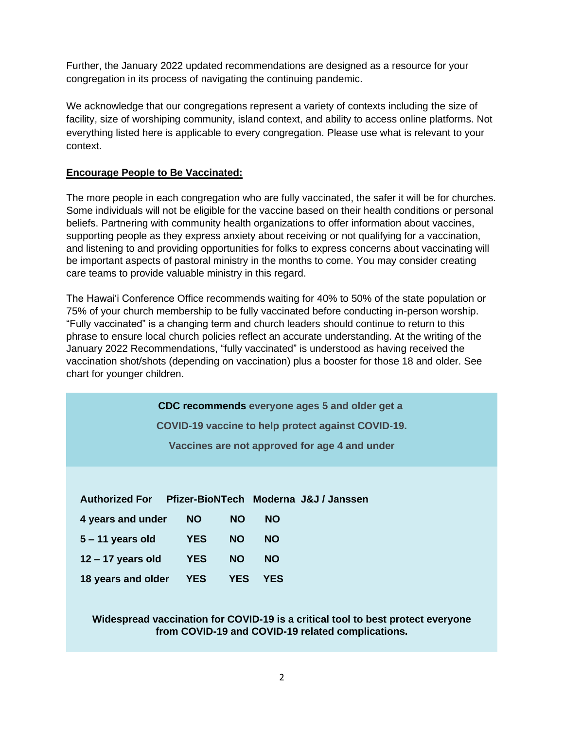Further, the January 2022 updated recommendations are designed as a resource for your congregation in its process of navigating the continuing pandemic.

We acknowledge that our congregations represent a variety of contexts including the size of facility, size of worshiping community, island context, and ability to access online platforms. Not everything listed here is applicable to every congregation. Please use what is relevant to your context.

### **Encourage People to Be Vaccinated:**

The more people in each congregation who are fully vaccinated, the safer it will be for churches. Some individuals will not be eligible for the vaccine based on their health conditions or personal beliefs. Partnering with community health organizations to offer information about vaccines, supporting people as they express anxiety about receiving or not qualifying for a vaccination, and listening to and providing opportunities for folks to express concerns about vaccinating will be important aspects of pastoral ministry in the months to come. You may consider creating care teams to provide valuable ministry in this regard.

The Hawai'i Conference Office recommends waiting for 40% to 50% of the state population or 75% of your church membership to be fully vaccinated before conducting in-person worship. "Fully vaccinated" is a changing term and church leaders should continue to return to this phrase to ensure local church policies reflect an accurate understanding. At the writing of the January 2022 Recommendations, "fully vaccinated" is understood as having received the vaccination shot/shots (depending on vaccination) plus a booster for those 18 and older. See chart for younger children.

**CDC recommends everyone ages 5 and older get a**

**COVID-19 vaccine to help protect against COVID-19.**

**Vaccines are not approved for age 4 and under**

### **Authorized For Pfizer-BioNTech Moderna J&J / Janssen**

| 4 years and under   | <b>NO</b>  | <b>NO</b>  | <b>NO</b>  |
|---------------------|------------|------------|------------|
| $5 - 11$ years old  | <b>YES</b> | <b>NO</b>  | <b>NO</b>  |
| $12 - 17$ years old | <b>YES</b> | <b>NO</b>  | <b>NO</b>  |
| 18 years and older  | <b>YES</b> | <b>YES</b> | <b>YES</b> |

### **Widespread vaccination for COVID-19 is a critical tool to best protect everyone from COVID-19 and COVID-19 related complications.**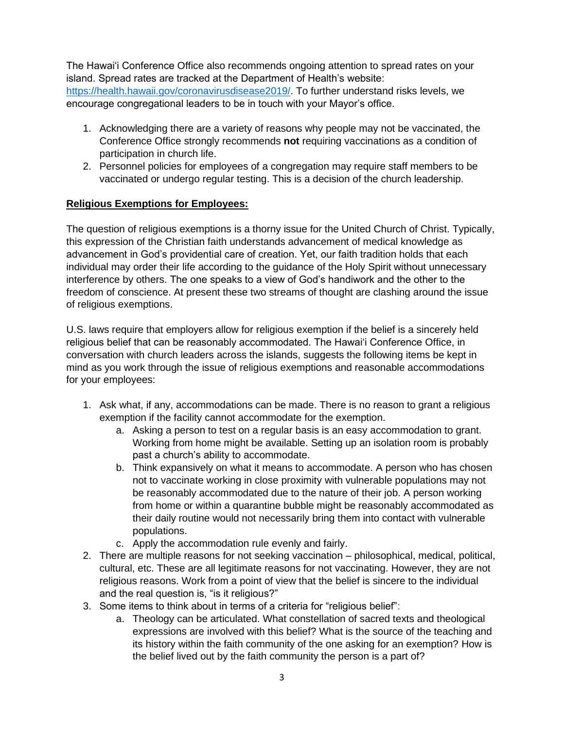The Hawai'i Conference Office also recommends ongoing attention to spread rates on your island. Spread rates are tracked at the Department of Health's website: [https://health.hawaii.gov/coronavirusdisease2019/.](https://health.hawaii.gov/coronavirusdisease2019/) To further understand risks levels, we encourage congregational leaders to be in touch with your Mayor's office.

- 1. Acknowledging there are a variety of reasons why people may not be vaccinated, the Conference Office strongly recommends **not** requiring vaccinations as a condition of participation in church life.
- 2. Personnel policies for employees of a congregation may require staff members to be vaccinated or undergo regular testing. This is a decision of the church leadership.

## **Religious Exemptions for Employees:**

The question of religious exemptions is a thorny issue for the United Church of Christ. Typically, this expression of the Christian faith understands advancement of medical knowledge as advancement in God's providential care of creation. Yet, our faith tradition holds that each individual may order their life according to the guidance of the Holy Spirit without unnecessary interference by others. The one speaks to a view of God's handiwork and the other to the freedom of conscience. At present these two streams of thought are clashing around the issue of religious exemptions.

U.S. laws require that employers allow for religious exemption if the belief is a sincerely held religious belief that can be reasonably accommodated. The Hawai'i Conference Office, in conversation with church leaders across the islands, suggests the following items be kept in mind as you work through the issue of religious exemptions and reasonable accommodations for your employees:

- 1. Ask what, if any, accommodations can be made. There is no reason to grant a religious exemption if the facility cannot accommodate for the exemption.
	- a. Asking a person to test on a regular basis is an easy accommodation to grant. Working from home might be available. Setting up an isolation room is probably past a church's ability to accommodate.
	- b. Think expansively on what it means to accommodate. A person who has chosen not to vaccinate working in close proximity with vulnerable populations may not be reasonably accommodated due to the nature of their job. A person working from home or within a quarantine bubble might be reasonably accommodated as their daily routine would not necessarily bring them into contact with vulnerable populations.
	- c. Apply the accommodation rule evenly and fairly.
- 2. There are multiple reasons for not seeking vaccination philosophical, medical, political, cultural, etc. These are all legitimate reasons for not vaccinating. However, they are not religious reasons. Work from a point of view that the belief is sincere to the individual and the real question is, "is it religious?"
- 3. Some items to think about in terms of a criteria for "religious belief":
	- a. Theology can be articulated. What constellation of sacred texts and theological expressions are involved with this belief? What is the source of the teaching and its history within the faith community of the one asking for an exemption? How is the belief lived out by the faith community the person is a part of?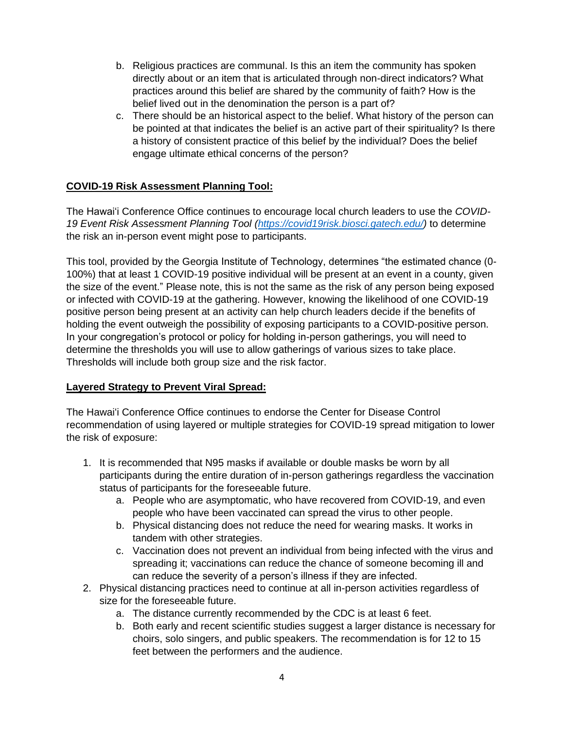- b. Religious practices are communal. Is this an item the community has spoken directly about or an item that is articulated through non-direct indicators? What practices around this belief are shared by the community of faith? How is the belief lived out in the denomination the person is a part of?
- c. There should be an historical aspect to the belief. What history of the person can be pointed at that indicates the belief is an active part of their spirituality? Is there a history of consistent practice of this belief by the individual? Does the belief engage ultimate ethical concerns of the person?

# **COVID-19 Risk Assessment Planning Tool:**

The Hawai'i Conference Office continues to encourage local church leaders to use the *COVID-19 Event Risk Assessment Planning Tool [\(https://covid19risk.biosci.gatech.edu/\)](https://covid19risk.biosci.gatech.edu/)* to determine the risk an in-person event might pose to participants.

This tool, provided by the Georgia Institute of Technology, determines "the estimated chance (0- 100%) that at least 1 COVID-19 positive individual will be present at an event in a county, given the size of the event." Please note, this is not the same as the risk of any person being exposed or infected with COVID-19 at the gathering. However, knowing the likelihood of one COVID-19 positive person being present at an activity can help church leaders decide if the benefits of holding the event outweigh the possibility of exposing participants to a COVID-positive person. In your congregation's protocol or policy for holding in-person gatherings, you will need to determine the thresholds you will use to allow gatherings of various sizes to take place. Thresholds will include both group size and the risk factor.

### **Layered Strategy to Prevent Viral Spread:**

The Hawai'i Conference Office continues to endorse the Center for Disease Control recommendation of using layered or multiple strategies for COVID-19 spread mitigation to lower the risk of exposure:

- 1. It is recommended that N95 masks if available or double masks be worn by all participants during the entire duration of in-person gatherings regardless the vaccination status of participants for the foreseeable future.
	- a. People who are asymptomatic, who have recovered from COVID-19, and even people who have been vaccinated can spread the virus to other people.
	- b. Physical distancing does not reduce the need for wearing masks. It works in tandem with other strategies.
	- c. Vaccination does not prevent an individual from being infected with the virus and spreading it; vaccinations can reduce the chance of someone becoming ill and can reduce the severity of a person's illness if they are infected.
- 2. Physical distancing practices need to continue at all in-person activities regardless of size for the foreseeable future.
	- a. The distance currently recommended by the CDC is at least 6 feet.
	- b. Both early and recent scientific studies suggest a larger distance is necessary for choirs, solo singers, and public speakers. The recommendation is for 12 to 15 feet between the performers and the audience.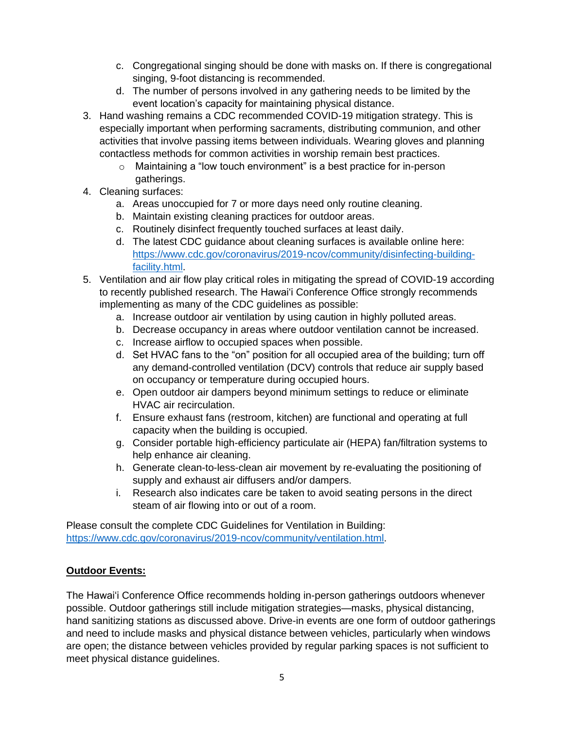- c. Congregational singing should be done with masks on. If there is congregational singing, 9-foot distancing is recommended.
- d. The number of persons involved in any gathering needs to be limited by the event location's capacity for maintaining physical distance.
- 3. Hand washing remains a CDC recommended COVID-19 mitigation strategy. This is especially important when performing sacraments, distributing communion, and other activities that involve passing items between individuals. Wearing gloves and planning contactless methods for common activities in worship remain best practices.
	- o Maintaining a "low touch environment" is a best practice for in-person gatherings.
- 4. Cleaning surfaces:
	- a. Areas unoccupied for 7 or more days need only routine cleaning.
	- b. Maintain existing cleaning practices for outdoor areas.
	- c. Routinely disinfect frequently touched surfaces at least daily.
	- d. The latest CDC guidance about cleaning surfaces is available online here: [https://www.cdc.gov/coronavirus/2019-ncov/community/disinfecting-building](https://www.cdc.gov/coronavirus/2019-ncov/community/disinfecting-building-facility.html)[facility.html.](https://www.cdc.gov/coronavirus/2019-ncov/community/disinfecting-building-facility.html)
- 5. Ventilation and air flow play critical roles in mitigating the spread of COVID-19 according to recently published research. The Hawai'i Conference Office strongly recommends implementing as many of the CDC guidelines as possible:
	- a. Increase outdoor air ventilation by using caution in highly polluted areas.
	- b. Decrease occupancy in areas where outdoor ventilation cannot be increased.
	- c. Increase airflow to occupied spaces when possible.
	- d. Set HVAC fans to the "on" position for all occupied area of the building; turn off any demand-controlled ventilation (DCV) controls that reduce air supply based on occupancy or temperature during occupied hours.
	- e. Open outdoor air dampers beyond minimum settings to reduce or eliminate HVAC air recirculation.
	- f. Ensure exhaust fans (restroom, kitchen) are functional and operating at full capacity when the building is occupied.
	- g. Consider portable high-efficiency particulate air (HEPA) fan/filtration systems to help enhance air cleaning.
	- h. Generate clean-to-less-clean air movement by re-evaluating the positioning of supply and exhaust air diffusers and/or dampers.
	- i. Research also indicates care be taken to avoid seating persons in the direct steam of air flowing into or out of a room.

Please consult the complete CDC Guidelines for Ventilation in Building: [https://www.cdc.gov/coronavirus/2019-ncov/community/ventilation.html.](https://www.cdc.gov/coronavirus/2019-ncov/community/ventilation.html)

### **Outdoor Events:**

The Hawai'i Conference Office recommends holding in-person gatherings outdoors whenever possible. Outdoor gatherings still include mitigation strategies—masks, physical distancing, hand sanitizing stations as discussed above. Drive-in events are one form of outdoor gatherings and need to include masks and physical distance between vehicles, particularly when windows are open; the distance between vehicles provided by regular parking spaces is not sufficient to meet physical distance guidelines.